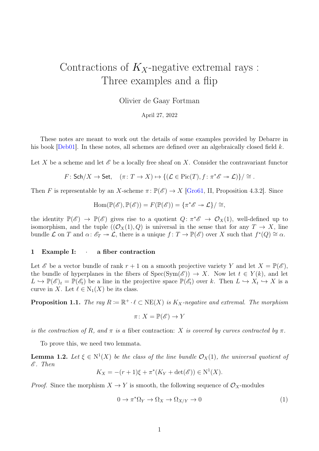# <span id="page-0-1"></span>Contractions of  $K_X$ -negative extremal rays: Three examples and a flip

Olivier de Gaay Fortman

April 27, 2022

These notes are meant to work out the details of some examples provided by Debarre in his book  $[Deb01]$ . In these notes, all schemes are defined over an algebraically closed field k.

Let X be a scheme and let  $\mathscr E$  be a locally free sheaf on X. Consider the contravariant functor

$$
F: \mathsf{Sch}/X \to \mathsf{Set}, \quad (\pi \colon T \to X) \mapsto \{ (\mathcal{L} \in \mathrm{Pic}(T), f \colon \pi^* \mathscr{E} \to \mathcal{L}) \} / \cong.
$$

Then F is representable by an X-scheme  $\pi: \mathbb{P}(\mathscr{E}) \to X$  [\[Gro61,](#page-8-1) II, Proposition 4.3.2]. Since

$$
\operatorname{Hom}(\mathbb{P}(\mathscr{E}), \mathbb{P}(\mathscr{E})) = F(\mathbb{P}(\mathscr{E})) = \{ \pi^* \mathscr{E} \to \mathcal{L} \} / \cong,
$$

the identity  $\mathbb{P}(\mathscr{E}) \to \mathbb{P}(\mathscr{E})$  gives rise to a quotient  $Q: \pi^*\mathscr{E} \to \mathcal{O}_X(1)$ , well-defined up to isomorphism, and the tuple  $((\mathcal{O}_X(1), Q)$  is universal in the sense that for any  $T \to X$ , line bundle  $\mathcal L$  on T and  $\alpha: \mathscr{E}_T \twoheadrightarrow \mathcal L$ , there is a unique  $f: T \to \mathbb{P}(\mathscr{E})$  over X such that  $f^*(Q) \cong \alpha$ .

#### 1 Example I: · a fiber contraction

Let  $\mathscr E$  be a vector bundle of rank  $r+1$  on a smooth projective variety Y and let  $X = \mathbb P(\mathscr E)$ , the bundle of hyperplanes in the fibers of  $Spec(Sym(\mathscr{E})) \to X$ . Now let  $t \in Y(k)$ , and let  $L \hookrightarrow \mathbb{P}(\mathscr{E})_t = \mathbb{P}(\mathscr{E}_t)$  be a line in the projective space  $\mathbb{P}(\mathscr{E}_t)$  over k. Then  $L \hookrightarrow X_t \hookrightarrow X$  is a curve in X. Let  $\ell \in N_1(X)$  be its class.

<span id="page-0-0"></span>**Proposition 1.1.** The ray  $R \coloneqq \mathbb{R}^+ \cdot \ell \subset \text{NE}(X)$  is  $K_X$ -negative and extremal. The morphism

$$
\pi\colon X=\mathbb{P}(\mathscr{E})\to Y
$$

is the contraction of R, and  $\pi$  is a fiber contraction: X is covered by curves contracted by  $\pi$ .

To prove this, we need two lemmata.

<span id="page-0-2"></span>**Lemma 1.2.** Let  $\xi \in N^1(X)$  be the class of the line bundle  $\mathcal{O}_X(1)$ , the universal quotient of  $\mathscr E$ . Then

$$
K_X = -(r+1)\xi + \pi^*(K_Y + \det(\mathscr{E})) \in N^1(X).
$$

*Proof.* Since the morphism  $X \to Y$  is smooth, the following sequence of  $\mathcal{O}_X$ -modules

$$
0 \to \pi^* \Omega_Y \to \Omega_X \to \Omega_{X/Y} \to 0 \tag{1}
$$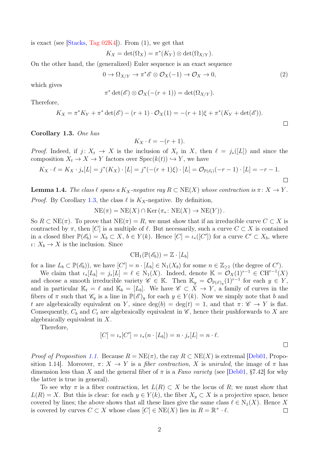is exact (see Stacks, Tag  $02K4$ ). From  $(1)$ , we get that

 $K_X = \det(\Omega_X) = \pi^*(K_Y) \otimes \det(\Omega_{X/Y}).$ 

On the other hand, the (generalized) Euler sequence is an exact sequence

$$
0 \to \Omega_{X/Y} \to \pi^* \mathscr{E} \otimes \mathcal{O}_X(-1) \to \mathcal{O}_X \to 0,
$$
\n<sup>(2)</sup>

which gives

$$
\pi^* \det(\mathscr{E}) \otimes \mathcal{O}_X(-r+1)) = \det(\Omega_{X/Y}).
$$

Therefore,

$$
K_X = \pi^* K_Y + \pi^* \det(\mathscr{E}) - (r+1) \cdot \mathcal{O}_X(1) = -(r+1)\xi + \pi^* (K_Y + \det(\mathscr{E})).
$$

<span id="page-1-0"></span>Corollary 1.3. One has

$$
K_X \cdot \ell = -(r+1).
$$

*Proof.* Indeed, if  $j: X_t \to X$  is the inclusion of  $X_t$  in X, then  $\ell = j_*(L)$  and since the composition  $X_t \to X \to Y$  factors over  $Spec(k(t)) \hookrightarrow Y$ , we have

$$
K_X \cdot \ell = K_X \cdot j_*[L] = j^*(K_X) \cdot [L] = j^*(-(r+1)\xi) \cdot [L] = \mathcal{O}_{\mathbb{P}(\mathscr{E}_t)}(-r-1) \cdot [L] = -r-1.
$$

**Lemma 1.4.** The class  $\ell$  spans a  $K_X$ -negative ray  $R \subset \text{NE}(X)$  whose contraction is  $\pi \colon X \to Y$ . *Proof.* By Corollary [1.3,](#page-1-0) the class  $\ell$  is  $K_X$ -negative. By definition,

$$
NE(\pi) = NE(X) \cap Ker (\pi_* : NE(X) \to NE(Y)).
$$

So  $R \subset NE(\pi)$ . To prove that  $NE(\pi) = R$ , we must show that if an irreducible curve  $C \subset X$  is contracted by  $\pi$ , then [C] is a multiple of  $\ell$ . But necessarily, such a curve  $C \subset X$  is contained in a closed fiber  $\mathbb{P}(\mathscr{E}_b) = X_b \subset X, b \in Y(k)$ . Hence  $[C] = \iota_*([C'])$  for a curve  $C' \subset X_b$ , where  $\iota: X_b \to X$  is the inclusion. Since

$$
\operatorname{CH}_1(\mathbb{P}(\mathscr{E}_b)) = \mathbb{Z} \cdot [L_b]
$$

for a line  $L_b \subset \mathbb{P}(\mathscr{E}_b)$ , we have  $[C'] = n \cdot [L_b] \in N_1(X_b)$  for some  $n \in \mathbb{Z}_{\geq 1}$  (the degree of  $C'$ ).

We claim that  $\iota_*[L_b] = j_*[L] = \ell \in N_1(X)$ . Indeed, denote  $\mathbb{K} = \mathcal{O}_X(1)^{r-1} \in \mathrm{CH}^{r-1}(X)$ and choose a smooth irreducible variety  $\mathscr{C} \in \mathbb{K}$ . Then  $\mathbb{K}_y = \mathcal{O}_{\mathbb{P}(\mathscr{E})_y}(1)^{r-1}$  for each  $y \in Y$ , and in particular  $\mathbb{K}_t = \ell$  and  $\mathbb{K}_b = [L_b]$ . We have  $\mathscr{C} \subset X \to Y$ , a family of curves in the fibers of  $\pi$  such that  $\mathscr{C}_y$  is a line in  $\mathbb{P}(\mathscr{E})_y$  for each  $y \in Y(k)$ . Now we simply note that b and t are algebraically equivalent on Y, since  $\deg(b) = \deg(t) = 1$ , and that  $\pi: \mathscr{C} \to Y$  is flat. Consequently,  $C_b$  and  $C_t$  are algebraically equivalent in  $\mathscr{C}$ , hence their pushforwards to X are algebraically equivalent in X.

Therefore,

$$
[C] = \iota_*[C'] = \iota_*(n \cdot [L_b]) = n \cdot j_*[L] = n \cdot \ell.
$$

*Proof of Proposition [1.1.](#page-0-0)* Because  $R = NE(\pi)$ , the ray  $R \subset NE(X)$  is extremal [\[Deb01,](#page-8-0) Proposition 1.14]. Moreover,  $\pi: X \to Y$  is a *fiber contraction,* X is uniruled, the image of  $\pi$  has dimension less than X and the general fiber of  $\pi$  is a Fano variety (see [\[Deb01,](#page-8-0) §7.42] for why the latter is true in general).

To see why  $\pi$  is a fiber contraction, let  $L(R) \subset X$  be the locus of R; we must show that  $L(R) = X$ . But this is clear: for each  $y \in Y(k)$ , the fiber  $X_y \subset X$  is a projective space, hence covered by lines; the above shows that all these lines give the same class  $\ell \in N_1(X)$ . Hence X is covered by curves  $C \subset X$  whose class  $[C] \in \text{NE}(X)$  lies in  $R = \mathbb{R}^+ \cdot \ell$ .  $\Box$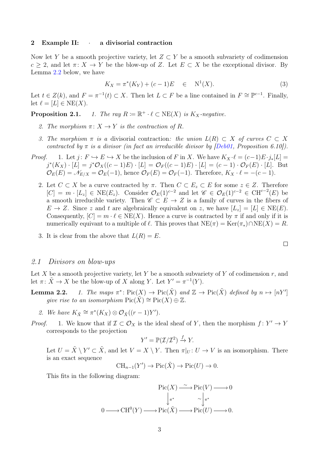### 2 Example II: a divisorial contraction

Now let Y be a smooth projective variety, let  $Z \subset Y$  be a smooth subvariety of codimension  $c > 2$ , and let  $\pi: X \to Y$  be the blow-up of Z. Let  $E \subset X$  be the exceptional divisor. By Lemma [2.2](#page-0-1) below, we have

$$
K_X = \pi^*(K_Y) + (c-1)E \quad \in \quad N^1(X). \tag{3}
$$

Let  $t \in Z(k)$ , and  $F = \pi^{-1}(t) \subset X$ . Then let  $L \subset F$  be a line contained in  $F \cong \mathbb{P}^{c-1}$ . Finally, let  $\ell = [L] \in \text{NE}(X)$ .

**Proposition 2.1.** 1. The ray  $R := \mathbb{R}^+ \cdot \ell \subset \text{NE}(X)$  is  $K_X$ -negative.

- 2. The morphism  $\pi: X \to Y$  is the contraction of R.
- 3. The morphism  $\pi$  is a divisorial contraction: the union  $L(R) \subset X$  of curves  $C \subset X$ contracted by  $\pi$  is a divisor (in fact an irreducible divisor by [\[Deb01,](#page-8-0) Proposition 6.10]).
- *Proof.* 1. Let  $j: F \hookrightarrow E \hookrightarrow X$  be the inclusion of F in X. We have  $K_X \cdot \ell = (c-1)E \cdot j_*[L] =$  $j^*(K_X) \cdot [L] = j^* \mathcal{O}_X((c-1)E) \cdot [L] = \mathcal{O}_F((c-1)E) \cdot [L] = (c-1) \cdot \mathcal{O}_F(E) \cdot [L]$ . But  $\mathcal{O}_E(E) = \mathcal{N}_{E/X} = \mathcal{O}_E(-1)$ , hence  $\mathcal{O}_F(E) = \mathcal{O}_F(-1)$ . Therefore,  $K_X \cdot \ell = -(c-1)$ .
	- 2. Let  $C \subset X$  be a curve contracted by  $\pi$ . Then  $C \subset E_z \subset E$  for some  $z \in Z$ . Therefore  $[C] = m \cdot [L_z] \in \text{NE}(E_z)$ . Consider  $\mathcal{O}_E(1)^{c-2}$  and let  $\mathscr{C} \in \mathcal{O}_E(1)^{c-2} \in \text{CH}^{c-2}(E)$  be a smooth irreducible variety. Then  $\mathscr{C} \subset E \to Z$  is a family of curves in the fibers of  $E \to Z$ . Since z and t are algebraically equivalent on z, we have  $[L_z] = [L] \in \text{NE}(E)$ . Consequently,  $[C] = m \cdot \ell \in NE(X)$ . Hence a curve is contracted by  $\pi$  if and only if it is numerically equivant to a multiple of  $\ell$ . This proves that  $NE(\pi) = Ker(\pi_*) \cap NE(X) = R$ .
	- 3. It is clear from the above that  $L(R) = E$ .

$$
\qquad \qquad \Box
$$

## 2.1 Divisors on blow-ups

Let X be a smooth projective variety, let Y be a smooth subvariety of Y of codimension  $r$ , and let  $\pi \colon \tilde{X} \to X$  be the blow-up of X along Y. Let  $Y' = \pi^{-1}(Y)$ .

- **Lemma 2.2.** 1. The maps  $\pi^* \colon Pic(X) \to Pic(\tilde{X})$  and  $\mathbb{Z} \to Pic(\tilde{X})$  defined by  $n \mapsto [nY']$ qive rise to an isomorphism  $Pic(\tilde{X}) \cong Pic(X) \oplus \mathbb{Z}$ .
	- 2. We have  $K_{\tilde{X}} \cong \pi^*(K_X) \otimes \mathcal{O}_{\tilde{X}}((r-1)Y')$ .
- *Proof.* 1. We know that if  $\mathcal{I} \subset \mathcal{O}_X$  is the ideal sheaf of Y, then the morphism  $f: Y' \to Y$ corresponds to the projection

$$
Y' = \mathbb{P}(\mathcal{I}/\mathcal{I}^2) \xrightarrow{f} Y.
$$

Let  $U = \tilde{X} \setminus Y' \subset \tilde{X}$ , and let  $V = X \setminus Y$ . Then  $\pi|_U : U \to V$  is an isomorphism. There is an exact sequence

$$
CH_{n-1}(Y') \to Pic(\tilde{X}) \to Pic(U) \to 0.
$$

This fits in the following diagram:

$$
\operatorname{Pic}(X) \xrightarrow{\sim} \operatorname{Pic}(V) \longrightarrow 0
$$

$$
\downarrow_{\pi^*} \qquad \sim \downarrow_{\pi^*}
$$

$$
0 \longrightarrow \operatorname{CH}^0(Y) \longrightarrow \operatorname{Pic}(\tilde{X}) \longrightarrow \operatorname{Pic}(U) \longrightarrow 0.
$$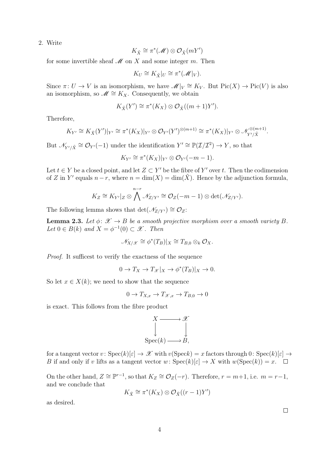2. Write

$$
K_{\tilde{X}} \cong \pi^*(\mathscr{M}) \otimes \mathcal{O}_{\tilde{X}}(mY')
$$

for some invertible sheaf  $\mathcal M$  on X and some integer m. Then

$$
K_U \cong K_{\tilde{X}}|_U \cong \pi^*(\mathscr{M}|_V).
$$

Since  $\pi: U \to V$  is an isomorphism, we have  $\mathscr{M}|_V \cong K_V$ . But  $Pic(X) \to Pic(V)$  is also an isomorphism, so  $\mathscr{M} \cong K_X$ . Consequently, we obtain

$$
K_{\tilde{X}}(Y') \cong \pi^*(K_X) \otimes \mathcal{O}_{\tilde{X}}((m+1)Y').
$$

Therefore,

$$
K_{Y'} \cong K_{\tilde{X}}(Y')|_{Y'} \cong \pi^*(K_X)|_{Y'} \otimes \mathcal{O}_{Y'}(Y')^{\otimes (m+1)} \cong \pi^*(K_X)|_{Y'} \otimes \mathcal{N}_{Y'/\tilde{X}}^{\otimes (m+1)}.
$$

But  $\mathcal{N}_{Y'/\tilde{X}} \cong \mathcal{O}_{Y'}(-1)$  under the identification  $Y' \cong \mathbb{P}(\mathcal{I}/\mathcal{I}^2) \to Y$ , so that

$$
K_{Y'} \cong \pi^*(K_X)|_{Y'} \otimes \mathcal{O}_{Y'}(-m-1).
$$

Let  $t \in Y$  be a closed point, and let  $Z \subset Y'$  be the fibre of Y' over t. Then the codimension of Z in Y' equals  $n-r$ , where  $n = \dim(X) = \dim(\tilde{X})$ . Hence by the adjunction formula,

$$
K_Z \cong K_{Y'}|_Z \otimes \bigwedge^{n-r} \mathcal{N}_{Z/Y'} \cong \mathcal{O}_Z(-m-1) \otimes \det(\mathcal{N}_{Z/Y'}).
$$

The following lemma shows that det( $\mathcal{N}_{Z/Y'}$ ) ≅  $\mathcal{O}_Z$ :

**Lemma 2.3.** Let  $\phi: \mathcal{X} \to B$  be a smooth projective morphism over a smooth variety B. Let  $0 \in B(k)$  and  $X = \phi^{-1}(0) \subset \mathscr{X}$ . Then

$$
\mathscr{N}_{X/\mathscr{X}} \cong \phi^*(T_B)|_X \cong T_{B,0} \otimes_k \mathcal{O}_X.
$$

Proof. It sufficest to verify the exactness of the sequence

$$
0 \to T_X \to T_{\mathcal{X}}|_X \to \phi^*(T_B)|_X \to 0.
$$

So let  $x \in X(k)$ ; we need to show that the sequence

$$
0 \to T_{X,x} \to T_{\mathcal{X},x} \to T_{B,0} \to 0
$$

is exact. This follows from the fibre product



for a tangent vector  $v: Spec(k)[\varepsilon] \to \mathscr{X}$  with  $v(Speck) = x$  factors through  $0: Spec(k)[\varepsilon] \to$ B if and only if v lifts as a tangent vector w:  $Spec(k)[\varepsilon] \to X$  with  $w(Spec(k)) = x$ .  $\Box$ 

On the other hand,  $Z \cong \mathbb{P}^{r-1}$ , so that  $K_Z \cong \mathcal{O}_Z(-r)$ . Therefore,  $r = m+1$ , i.e.  $m = r-1$ , and we conclude that

$$
K_{\tilde{X}} \cong \pi^*(K_X) \otimes \mathcal{O}_{\tilde{X}}((r-1)Y')
$$

as desired.

 $\Box$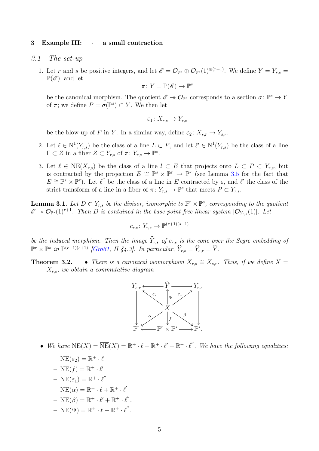## 3 Example III: · a small contraction

- 3.1 The set-up
	- 1. Let r and s be positive integers, and let  $\mathscr{E} = \mathcal{O}_{\mathbb{P}^s} \oplus \mathcal{O}_{\mathbb{P}^s}(1)^{\oplus (r+1)}$ . We define  $Y = Y_{r,s}$  $\mathbb{P}(\mathscr{E})$ , and let

$$
\pi\colon Y=\mathbb{P}(\mathscr{E})\to \mathbb{P}^s
$$

be the canonical morphism. The quotient  $\mathscr{E} \to \mathcal{O}_{\mathbb{P}^s}$  corresponds to a section  $\sigma \colon \mathbb{P}^s \to Y$ of  $\pi$ ; we define  $P = \sigma(\mathbb{P}^s) \subset Y$ . We then let

$$
\varepsilon_1\colon X_{r,s}\to Y_{r,s}
$$

be the blow-up of P in Y. In a similar way, define  $\varepsilon_2 \colon X_{s,r} \to Y_{s,r}$ .

- 2. Let  $\ell \in N^1(Y_{r,s})$  be the class of a line  $L \subset P$ , and let  $\ell' \in N^1(Y_{r,s})$  be the class of a line  $\Gamma \subset Z$  in a fiber  $Z \subset Y_{r,s}$  of  $\pi \colon Y_{r,s} \to \mathbb{P}^s$ .
- 3. Let  $\ell \in \text{NE}(X_{r,s})$  be the class of a line  $l \subset E$  that projects onto  $L \subset P \subset Y_{r,s}$ , but is contracted by the projection  $E \cong \mathbb{P}^s \times \mathbb{P}^r \to \mathbb{P}^r$  (see Lemma [3.5](#page-0-1) for the fact that  $E \cong \mathbb{P}^s \times \mathbb{P}^r$ . Let  $\ell''$  be the class of a line in E contracted by  $\varepsilon$ , and  $\ell'$  the class of the strict transform of a line in a fiber of  $\pi: Y_{r,s} \to \mathbb{P}^s$  that meets  $P \subset Y_{r,s}$ .

**Lemma 3.1.** Let  $D \subset Y_{r,s}$  be the divisor, isomorphic to  $\mathbb{P}^r \times \mathbb{P}^s$ , corresponding to the quotient  $\mathscr{E} \to \mathcal{O}_{\mathbb{P}^s}(1)^{r+1}$ . Then D is contained in the base-point-free linear system  $|\mathcal{O}_{Y_{r,s}}(1)|$ . Let

$$
c_{r,s}\colon Y_{r,s}\to \mathbb{P}^{(r+1)(s+1)}
$$

be the induced morphism. Then the image  $\hat{Y}_{r,s}$  of  $c_{r,s}$  is the cone over the Segre embedding of  $\mathbb{P}^r \times \mathbb{P}^s$  in  $\mathbb{P}^{(r+1)(s+1)}$  [\[Gro61,](#page-8-1) II §4.3]. In particular,  $\widehat{Y}_{r,s} = \widehat{Y}_{s,r} = \widehat{Y}$ .

**Theorem 3.2.** • There is a canonical isomorphism  $X_{r,s} \cong X_{s,r}$ . Thus, if we define  $X =$  $X_{r,s}$ , we obtain a commutative diagram



- We have  $NE(X) = \overline{NE}(X) = \mathbb{R}^+ \cdot \ell + \mathbb{R}^+ \cdot \ell' + \mathbb{R}^+ \cdot \ell''$ . We have the following equalities:
	- $\text{NE}(\varepsilon_2) = \mathbb{R}^+ \cdot \ell$
	- $\text{NE}(f) = \mathbb{R}^+ \cdot \ell'$
	- $\text{NE}(\varepsilon_1) = \mathbb{R}^+ \cdot \ell''$
	- $\text{NE}(\alpha) = \mathbb{R}^+ \cdot \ell + \mathbb{R}^+ \cdot \ell'$
	- $\text{NE}(\beta) = \mathbb{R}^+ \cdot \ell' + \mathbb{R}^+ \cdot \ell''.$
	- $\text{NE}(\Psi) = \mathbb{R}^+ \cdot \ell + \mathbb{R}^+ \cdot \ell''.$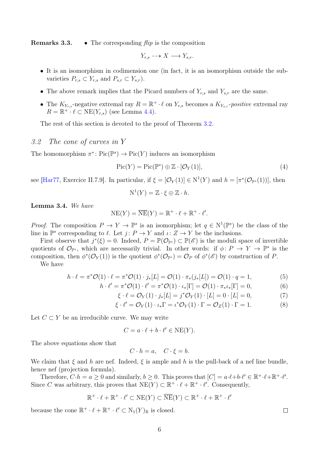**Remarks 3.3.** • The corresponding  $f\hat{i}\hat{p}$  is the composition

$$
Y_{r,s} \dashrightarrow X \longrightarrow Y_{s,r}.
$$

- It is an isomorphism in codimension one (in fact, it is an isomorphism outside the subvarieties  $P_{r,s} \subset Y_{r,s}$  and  $P_{s,r} \subset Y_{s,r}$ ).
- The above remark implies that the Picard numbers of  $Y_{r,s}$  and  $Y_{s,r}$  are the same.
- The  $K_{Y_{r,s}}$ -negative extremal ray  $R = \mathbb{R}^+ \cdot \ell$  on  $Y_{r,s}$  becomes a  $K_{Y_{s,r}}$ -positive extremal ray  $R = \mathbb{R}^+ \cdot \ell \subset \text{NE}(Y_{r,s})$  (see Lemma [4.4\)](#page-8-3).

The rest of this section is devoted to the proof of Theorem [3.2.](#page-0-1)

## 3.2 The cone of curves in Y

The homomorphism  $\pi^* \colon Pic(\mathbb{P}^s) \to Pic(Y)$  induces an isomorphism

$$
Pic(Y) = Pic(\mathbb{P}^s) \oplus \mathbb{Z} \cdot [\mathcal{O}_Y(1)], \qquad (4)
$$

see [\[Har77,](#page-8-4) Exercice II.7.9]. In particular, if  $\xi = [\mathcal{O}_Y(1)] \in N^1(Y)$  and  $h = [\pi^*(\mathcal{O}_{\mathbb{P}^s}(1))]$ , then

<span id="page-5-0"></span>
$$
N^1(Y) = \mathbb{Z} \cdot \xi \oplus \mathbb{Z} \cdot h.
$$

Lemma 3.4. We have

$$
NE(Y) = \overline{NE}(Y) = \mathbb{R}^+ \cdot \ell + \mathbb{R}^+ \cdot \ell'.
$$

*Proof.* The composition  $P \to Y \to \mathbb{P}^s$  is an isomorphism; let  $q \in N^1(\mathbb{P}^s)$  be the class of the line in  $\mathbb{P}^s$  corresponding to  $\ell$ . Let  $j: P \to Y$  and  $\iota: Z \to Y$  be the inclusions.

First observe that  $j^*(\xi) = 0$ . Indeed,  $P = \mathbb{P}(\mathcal{O}_{\mathbb{P}^s}) \subset \mathbb{P}(\mathscr{E})$  is the moduli space of invertible quotients of  $\mathcal{O}_{\mathbb{P}^s}$ , which are necessarily trivial. In other words: if  $\phi\colon P \to Y \to \mathbb{P}^s$  is the composition, then  $\phi^*(\mathcal{O}_Y(1))$  is the quotient  $\phi^*(\mathcal{O}_{\mathbb{P}^s}) = \mathcal{O}_P$  of  $\phi^*(\mathscr{E})$  by construction of P.

We have

$$
h \cdot \ell = \pi^* \mathcal{O}(1) \cdot \ell = \pi^* \mathcal{O}(1) \cdot j_*[L] = \mathcal{O}(1) \cdot \pi_* (j_*[L]) = \mathcal{O}(1) \cdot q = 1,
$$
 (5)

$$
\ell' = \pi^* \mathcal{O}(1) \cdot \ell' = \pi^* \mathcal{O}(1) \cdot \iota_*[\Gamma] = \mathcal{O}(1) \cdot \pi_* \iota_*[\Gamma] = 0,
$$
\n(6)

$$
\xi \cdot \ell = \mathcal{O}_Y(1) \cdot j_*[L] = j^* \mathcal{O}_Y(1) \cdot [L] = 0 \cdot [L] = 0,\tag{7}
$$

$$
\xi \cdot \ell' = \mathcal{O}_Y(1) \cdot \iota_* \Gamma = \iota^* \mathcal{O}_Y(1) \cdot \Gamma = \mathcal{O}_Z(1) \cdot \Gamma = 1. \tag{8}
$$

Let  $C \subset Y$  be an irreducible curve. We may write

 $h \cdot$ 

$$
C = a \cdot \ell + b \cdot \ell' \in \text{NE}(Y).
$$

The above equations show that

$$
C \cdot h = a, \quad C \cdot \xi = b.
$$

We claim that  $\xi$  and h are nef. Indeed,  $\xi$  is ample and h is the pull-back of a nef line bundle, hence nef (projection formula).

Therefore,  $C \cdot h = a \geq 0$  and similarly,  $b \geq 0$ . This proves that  $[C] = a \cdot \ell + b \cdot \ell' \in \mathbb{R}^+ \cdot \ell + \mathbb{R}^+ \cdot \ell'.$ Since C was arbitrary, this proves that  $NE(Y) \subset \mathbb{R}^+ \cdot \ell + \mathbb{R}^+ \cdot \ell'$ . Consequently,

$$
\mathbb{R}^+\cdot\ell+\mathbb{R}^+\cdot\ell'\subset \textrm{NE}(Y)\subset\overline{\textrm{NE}}(Y)\subset \mathbb{R}^+\cdot\ell+\mathbb{R}^+\cdot\ell'
$$

because the cone  $\mathbb{R}^+ \cdot \ell + \mathbb{R}^+ \cdot \ell' \subset N_1(Y)_{\mathbb{R}}$  is closed.

 $\Box$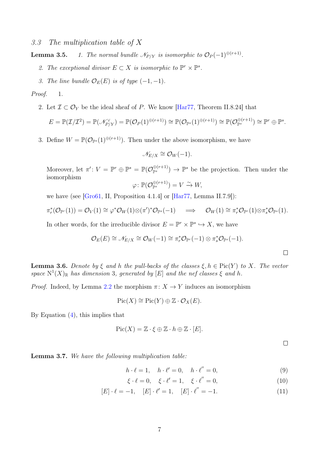3.3 The multiplication table of X

**Lemma 3.5.** 1. The normal bundle  $\mathcal{N}_{P/Y}$  is isomorphic to  $\mathcal{O}_P(-1)^{\oplus (r+1)}$ .

- 2. The exceptional divisor  $E \subset X$  is isomorphic to  $\mathbb{P}^r \times \mathbb{P}^s$ .
- 3. The line bundle  $\mathcal{O}_E(E)$  is of type  $(-1, -1)$ .

Proof. 1.

2. Let  $\mathcal{I} \subset \mathcal{O}_Y$  be the ideal sheaf of P. We know [\[Har77,](#page-8-4) Theorem II.8.24] that

$$
E = \mathbb{P}(\mathcal{I}/\mathcal{I}^2) = \mathbb{P}(\mathcal{N}_{P/Y}^{\vee}) = \mathbb{P}(\mathcal{O}_P(1)^{\oplus (r+1)}) \cong \mathbb{P}(\mathcal{O}_{\mathbb{P}^s}(1)^{\oplus (r+1)}) \cong \mathbb{P}(\mathcal{O}_{\mathbb{P}^s}^{\oplus (r+1)}) \cong \mathbb{P}^r \oplus \mathbb{P}^s.
$$

3. Define  $W = \mathbb{P}(\mathcal{O}_{\mathbb{P}^s}(1)^{\oplus (r+1)})$ . Then under the above isomorphism, we have

$$
\mathcal{N}_{E/X} \cong \mathcal{O}_W(-1).
$$

Moreover, let  $\pi' : V = \mathbb{P}^r \oplus \mathbb{P}^s = \mathbb{P}(\mathcal{O}_{\mathbb{P}^s}^{\oplus (r+1)}) \to \mathbb{P}^s$  be the projection. Then under the isomorphism

$$
\varphi\colon \mathbb{P}(\mathcal{O}_{\mathbb{P}^s}^{\oplus (r+1)})=V \xrightarrow{\sim} W,
$$

we have (see [\[Gro61,](#page-8-1) II, Proposition 4.1.4] or [\[Har77,](#page-8-4) Lemma II.7.9]):

$$
\pi_r^*(\mathcal{O}_{\mathbb{P}^r}(1)) = \mathcal{O}_V(1) \cong \varphi^*\mathcal{O}_W(1) \otimes (\pi')^*\mathcal{O}_{\mathbb{P}^s}(-1) \quad \Longrightarrow \quad \mathcal{O}_W(1) \cong \pi_r^*\mathcal{O}_{\mathbb{P}^r}(1) \otimes \pi_s^*\mathcal{O}_{\mathbb{P}^s}(1).
$$

In other words, for the irreducible divisor  $E = \mathbb{P}^r \times \mathbb{P}^s \hookrightarrow X$ , we have

$$
\mathcal{O}_E(E) \cong \mathcal{N}_{E/X} \cong \mathcal{O}_W(-1) \cong \pi_r^* \mathcal{O}_{\mathbb{P}^r}(-1) \otimes \pi_s^* \mathcal{O}_{\mathbb{P}^s}(-1).
$$

**Lemma 3.6.** Denote by  $\xi$  and h the pull-backs of the classes  $\xi, h \in Pic(Y)$  to X. The vector space  $N^1(X)_{\mathbb{R}}$  has dimension 3, generated by [E] and the nef classes  $\xi$  and h.

*Proof.* Indeed, by Lemma [2.2](#page-0-1) the morphism  $\pi: X \to Y$  induces an isomorphism

$$
Pic(X) \cong Pic(Y) \oplus \mathbb{Z} \cdot \mathcal{O}_X(E).
$$

By Equation  $(4)$ , this implies that

$$
Pic(X) = \mathbb{Z} \cdot \xi \oplus \mathbb{Z} \cdot h \oplus \mathbb{Z} \cdot [E].
$$

 $\Box$ 

 $\Box$ 

Lemma 3.7. We have the following multiplication table:

$$
h \cdot \ell = 1, \quad h \cdot \ell' = 0, \quad h \cdot \ell'' = 0,
$$
\n
$$
(9)
$$

 $\xi \cdot \ell = 0, \quad \xi \cdot \ell' = 1, \quad \xi \cdot \ell'' = 0,$ (10)

$$
[E] \cdot \ell = -1, \quad [E] \cdot \ell' = 1, \quad [E] \cdot \ell'' = -1. \tag{11}
$$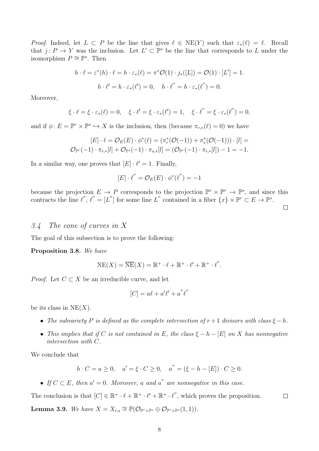*Proof.* Indeed, let  $L \subset P$  be the line that gives  $\ell \in \text{NE}(Y)$  such that  $\varepsilon_*(\ell) = \ell$ . Recall that  $j: P \to Y$  was the inclusion. Let  $L' \subset \mathbb{P}^s$  be the line that corresponds to L under the isomorphism  $P \cong \mathbb{P}^s$ . Then

$$
h \cdot \ell = \varepsilon^*(h) \cdot \ell = h \cdot \varepsilon_*(\ell) = \pi^* \mathcal{O}(1) \cdot j_*([L]) = \mathcal{O}(1) \cdot [L'] = 1.
$$
  

$$
h \cdot \ell' = h \cdot \varepsilon_*(\ell') = 0, \quad h \cdot \ell' = h \cdot \varepsilon_*(\ell') = 0.
$$

Moreover,

$$
\xi \cdot \ell = \xi \cdot \varepsilon_*(\ell) = 0, \quad \xi \cdot \ell' = \xi \cdot \varepsilon_*(\ell') = 1, \quad \xi \cdot \ell'' = \xi \cdot \varepsilon_*(\ell'') = 0,
$$

and if  $\phi: E = \mathbb{P}^r \times \mathbb{P}^s \hookrightarrow X$  is the inclusion, then (because  $\pi_{r,*}(\ell) = 0$ ) we have

$$
[E] \cdot \ell = \mathcal{O}_E(E) \cdot \phi^*(\ell) = (\pi_r^*(\mathcal{O}(-1)) + \pi_s^*(\mathcal{O}(-1))) \cdot [l] =
$$
  

$$
\mathcal{O}_{\mathbb{P}^r}(-1) \cdot \pi_{r,*}[l] + \mathcal{O}_{\mathbb{P}^s}(-1) \cdot \pi_{s,*}[l] = (\mathcal{O}_{\mathbb{P}^r}(-1) \cdot \pi_{r,*}[l]) - 1 = -1.
$$

In a similar way, one proves that  $[E] \cdot \ell' = 1$ . Finally,

$$
[E] \cdot \ell'' = \mathcal{O}_E(E) \cdot \phi^*(\ell'') = -1
$$

because the projection  $E \to P$  corresponds to the projection  $\mathbb{P}^s \times \mathbb{P}^r \to \mathbb{P}^s$ , and since this contracts the line  $\ell'', \ell'' = [L'']$  for some line L'' contained in a fiber  $\{x\} \times \mathbb{P}^r \subset E \to \mathbb{P}^s$ .

## 3.4 The cone of curves in X

The goal of this subsection is to prove the following:

Proposition 3.8. We have

$$
NE(X) = \overline{NE}(X) = \mathbb{R}^+ \cdot \ell + \mathbb{R}^+ \cdot \ell' + \mathbb{R}^+ \cdot \ell'.
$$

*Proof.* Let  $C \subset X$  be an irreducible curve, and let

$$
[C] = a\ell + a'\ell' + a''\ell''
$$

be its class in  $NE(X)$ .

- The subvariety P is defined as the complete intersection of  $r + 1$  divisors with class  $\xi h$ .
- This implies that if C is not contained in E, the class  $\xi h [E]$  on X has nonnegative intersection with C.

We conclude that

$$
h \cdot C = a \ge 0
$$
,  $a' = \xi \cdot C \ge 0$ ,  $a'' = (\xi - h - [E]) \cdot C \ge 0$ .

• If  $C \subset E$ , then  $a' = 0$ . Moreover, a and a'' are nonnegative in this case.

The conclusion is that  $[C] \in \mathbb{R}^+ \cdot \ell + \mathbb{R}^+ \cdot \ell' + \mathbb{R}^+ \cdot \ell''$ , which proves the proposition.  $\Box$ **Lemma 3.9.** We have  $X = X_{r,s} \cong \mathbb{P}(\mathcal{O}_{\mathbb{P}^r \times \mathbb{P}^s} \oplus \mathcal{O}_{\mathbb{P}^r \times \mathbb{P}^s}(1,1)).$